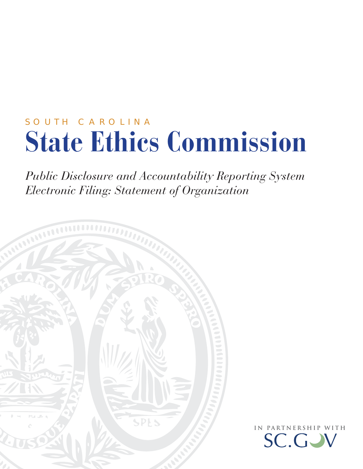# SOUTH CAROLINA **State Ethics Commission**

*Public Disclosure and Accountability Reporting System Electronic Filing: Statement of Organization*



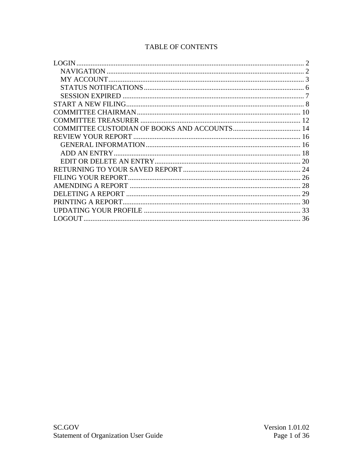| 20 |
|----|
|    |
|    |
| 28 |
|    |
| 30 |
|    |
| 36 |
|    |

## TABLE OF CONTENTS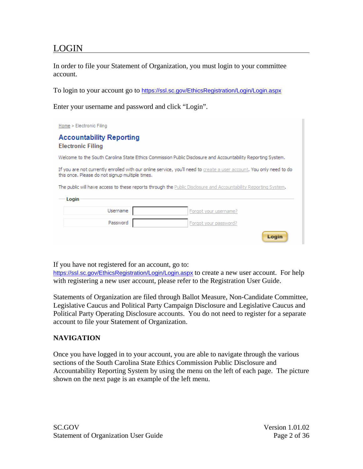## <span id="page-2-0"></span>LOGIN

In order to file your Statement of Organization, you must login to your committee account.

To login to your account go to <https://ssl.sc.gov/EthicsRegistration/Login/Login.aspx>

Enter your username and password and click "Login".

| Home > Electronic Filing                                                                                                                                                |                       |  |  |
|-------------------------------------------------------------------------------------------------------------------------------------------------------------------------|-----------------------|--|--|
| <b>Accountability Reporting</b><br><b>Electronic Filing</b>                                                                                                             |                       |  |  |
| Welcome to the South Carolina State Ethics Commission Public Disclosure and Accountability Reporting System.                                                            |                       |  |  |
| If you are not currently enrolled with our online service, you'll need to create a user account. You only need to do<br>this once. Please do not signup multiple times. |                       |  |  |
| The public will have access to these reports through the Public Disclosure and Accountability Reporting System.                                                         |                       |  |  |
| Login                                                                                                                                                                   |                       |  |  |
| Username                                                                                                                                                                | Forgot your username? |  |  |
| Password                                                                                                                                                                | Forgot your password? |  |  |
|                                                                                                                                                                         | Login                 |  |  |

If you have not registered for an account, go to:

<https://ssl.sc.gov/EthicsRegistration/Login/Login.aspx> to create a new user account. For help with registering a new user account, please refer to the Registration User Guide.

Statements of Organization are filed through Ballot Measure, Non-Candidate Committee, Legislative Caucus and Political Party Campaign Disclosure and Legislative Caucus and Political Party Operating Disclosure accounts. You do not need to register for a separate account to file your Statement of Organization.

#### **NAVIGATION**

Once you have logged in to your account, you are able to navigate through the various sections of the South Carolina State Ethics Commission Public Disclosure and Accountability Reporting System by using the menu on the left of each page. The picture shown on the next page is an example of the left menu.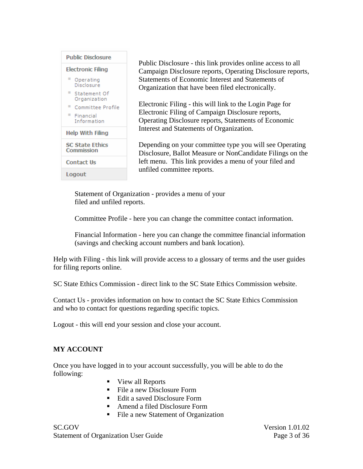<span id="page-3-0"></span>

Public Disclosure - this link provides online access to all Campaign Disclosure reports, Operating Disclosure reports, Statements of Economic Interest and Statements of Organization that have been filed electronically.

Electronic Filing - this will link to the Login Page for Electronic Filing of Campaign Disclosure reports, Operating Disclosure reports, Statements of Economic Interest and Statements of Organization.

Depending on your committee type you will see Operating Disclosure, Ballot Measure or NonCandidate Filings on the left menu. This link provides a menu of your filed and unfiled committee reports.

Statement of Organization - provides a menu of your filed and unfiled reports.

Committee Profile - here you can change the committee contact information.

Financial Information - here you can change the committee financial information (savings and checking account numbers and bank location).

Help with Filing - this link will provide access to a glossary of terms and the user guides for filing reports online.

SC State Ethics Commission - direct link to the SC State Ethics Commission website.

Contact Us - provides information on how to contact the SC State Ethics Commission and who to contact for questions regarding specific topics.

Logout - this will end your session and close your account.

#### **MY ACCOUNT**

Once you have logged in to your account successfully, you will be able to do the following:

- View all Reports
- $\blacksquare$  File a new Disclosure Form
- Edit a saved Disclosure Form
- Amend a filed Disclosure Form
- File a new Statement of Organization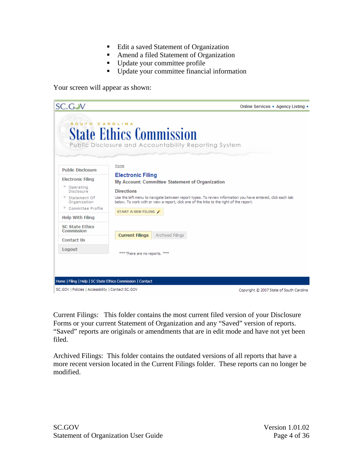- Edit a saved Statement of Organization
- **Amend a filed Statement of Organization**
- Update your committee profile
- Update your committee financial information

Your screen will appear as shown:

| <b>SC.GJV</b>                                                                       |                                                         |                  | Online Services . Agency Listing .                                                                                                                                                                                                                        |
|-------------------------------------------------------------------------------------|---------------------------------------------------------|------------------|-----------------------------------------------------------------------------------------------------------------------------------------------------------------------------------------------------------------------------------------------------------|
| SOUTH CAROLINA                                                                      | <b>State Ethics Commission</b>                          |                  | Public Disclosure and Accountability Reporting System                                                                                                                                                                                                     |
| <b>Public Disclosure</b>                                                            | Home                                                    |                  |                                                                                                                                                                                                                                                           |
| <b>Electronic Filing</b><br>Operating<br>Disclosure<br>Statement Of<br>Organization | <b>Electronic Filing</b><br><b>Directions</b>           |                  | My Account: Committee Statement of Organization<br>Use the left menu to navigate between report types. To review information you have entered, click each tab<br>below. To work with or view a report, click one of the links to the right of the report. |
| Committee Profile<br>ш<br><b>Help With Filing</b>                                   | START A NEW FILING                                      |                  |                                                                                                                                                                                                                                                           |
| <b>SC State Ethics</b><br>Commission                                                |                                                         |                  |                                                                                                                                                                                                                                                           |
| <b>Contact Us</b><br>Logout                                                         | <b>Current Filings</b><br>*** There are no reports. *** | Archived Filings |                                                                                                                                                                                                                                                           |
|                                                                                     |                                                         |                  |                                                                                                                                                                                                                                                           |
| Home   Filing   Help   SC State Ethics Commission   Contact                         |                                                         |                  |                                                                                                                                                                                                                                                           |
| SC.GOV   Policies   Accessibility   Contact SC.GOV                                  |                                                         |                  | Copyright © 2007 State of South Carolina                                                                                                                                                                                                                  |

Current Filings: This folder contains the most current filed version of your Disclosure Forms or your current Statement of Organization and any "Saved" version of reports. "Saved" reports are originals or amendments that are in edit mode and have not yet been filed.

Archived Filings: This folder contains the outdated versions of all reports that have a more recent version located in the Current Filings folder. These reports can no longer be modified.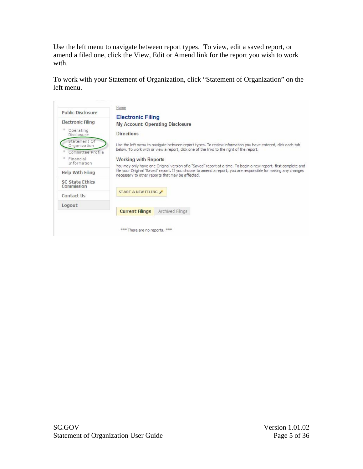Use the left menu to navigate between report types. To view, edit a saved report, or amend a filed one, click the View, Edit or Amend link for the report you wish to work with.

To work with your Statement of Organization, click "Statement of Organization" on the left menu.

| Public Disclosure                                 | Home                                                                                                                                                                                                                                                                                  |
|---------------------------------------------------|---------------------------------------------------------------------------------------------------------------------------------------------------------------------------------------------------------------------------------------------------------------------------------------|
| <b>Electronic Filing</b>                          | <b>Electronic Filing</b><br><b>My Account: Operating Disclosure</b>                                                                                                                                                                                                                   |
| Operating<br>Disclosure                           | <b>Directions</b>                                                                                                                                                                                                                                                                     |
| Statement Of<br>Organization<br>Committee Profile | Use the left menu to navigate between report types. To review information you have entered, click each tab<br>below. To work with or view a report, dick one of the links to the right of the report.                                                                                 |
| Financial                                         | <b>Working with Reports</b>                                                                                                                                                                                                                                                           |
| Information<br>Help With Filing                   | You may only have one Original version of a "Saved" report at a time. To begin a new report, first complete and<br>file your Original "Saved" report. If you choose to amend a report, you are responsible for making any changes<br>necessary to other reports that may be affected. |
| <b>SC State Ethics</b><br>Commission              |                                                                                                                                                                                                                                                                                       |
| Contact Us                                        | START A NEW FILING                                                                                                                                                                                                                                                                    |
| Logout                                            |                                                                                                                                                                                                                                                                                       |
|                                                   | Archived Filings<br><b>Current Filings</b>                                                                                                                                                                                                                                            |
|                                                   | <b>222</b><br>*** There are no reports.                                                                                                                                                                                                                                               |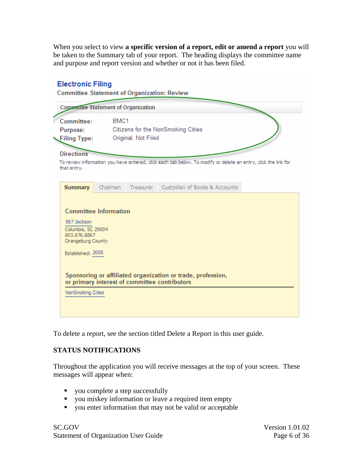<span id="page-6-0"></span>When you select to view **a specific version of a report, edit or amend a report** you will be taken to the Summary tab of your report. The heading displays the committee name and purpose and report version and whether or not it has been filed.

#### **Electronic Filing Committee Statement of Organization: Review Committee Statement of Organization** Committee: BMC1 Purpose: Citizens for the NonSmoking Cities Original, Not Filed **Filing Type: Directions** To review information you have entered, click each tab below. To modify or delete an entry, click the link for that entry. Custodian of Books & Accounts Treasurer **Summary** Chairman **Committee Information** 567 Jackson Columbia, SC 29004 803.676.8867 Orangeburg County Established: 2000 Sponsoring or affiliated organization or trade, profession, or primary interest of committee contributors NonSmoking Cities

To delete a report, see the section titled Delete a Report in this user guide.

#### **STATUS NOTIFICATIONS**

Throughout the application you will receive messages at the top of your screen. These messages will appear when:

- you complete a step successfully
- vou miskey information or leave a required item empty
- vou enter information that may not be valid or acceptable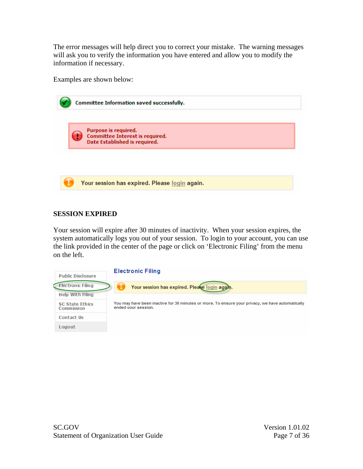<span id="page-7-0"></span>The error messages will help direct you to correct your mistake. The warning messages will ask you to verify the information you have entered and allow you to modify the information if necessary.

Examples are shown below:

| Committee Information saved successfully.                                                |
|------------------------------------------------------------------------------------------|
| Purpose is required.<br>Committee Interest is required.<br>Date Established is required. |
|                                                                                          |
| Your session has expired. Please login again.                                            |

#### **SESSION EXPIRED**

Your session will expire after 30 minutes of inactivity. When your session expires, the system automatically logs you out of your session. To login to your account, you can use the link provided in the center of the page or click on 'Electronic Filing' from the menu on the left.

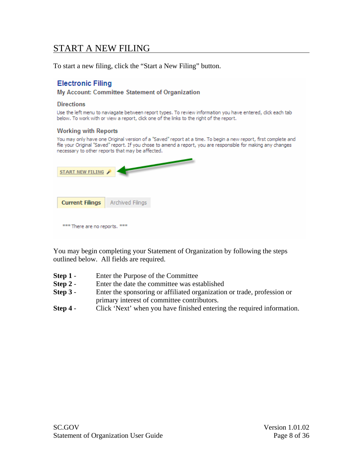## <span id="page-8-0"></span>START A NEW FILING

To start a new filing, click the "Start a New Filing" button.

#### **Electronic Filing**

My Account: Committee Statement of Organization

#### **Directions**

Use the left menu to naviagate between report types. To review information you have entered, dick each tab below. To work with or view a report, click one of the links to the right of the report.

#### **Working with Reports**

You may only have one Original version of a "Saved" report at a time. To begin a new report, first complete and file your Original "Saved" report. If you chose to amend a report, you are responsible for making any changes necessary to other reports that may be affected.

| START NEW FILING              |                  |  |
|-------------------------------|------------------|--|
| <b>Current Filings</b>        | Archived Filings |  |
| *** There are no reports. *** |                  |  |

You may begin completing your Statement of Organization by following the steps outlined below. All fields are required.

- **Step 1** Enter the Purpose of the Committee
- **Step 2** Enter the date the committee was established
- **Step 3** Enter the sponsoring or affiliated organization or trade, profession or primary interest of committee contributors.
- **Step 4** Click 'Next' when you have finished entering the required information.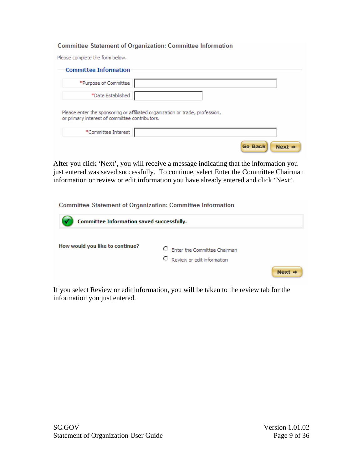#### **Committee Statement of Organization: Committee Information**

Please complete the form below.

| <b>Committee Information</b>                   |                                                                              |  |
|------------------------------------------------|------------------------------------------------------------------------------|--|
| *Purpose of Committee                          |                                                                              |  |
| *Date Established                              |                                                                              |  |
| or primary interest of committee contributors. | Please enter the sponsoring or affiliated organization or trade, profession, |  |
| *Committee Interest                            |                                                                              |  |
|                                                |                                                                              |  |

After you click 'Next', you will receive a message indicating that the information you just entered was saved successfully. To continue, select Enter the Committee Chairman information or review or edit information you have already entered and click 'Next'.

**Committee Statement of Organization: Committee Information** 

| Committee Information saved successfully. |  |                                                                |  |
|-------------------------------------------|--|----------------------------------------------------------------|--|
| How would you like to continue?           |  | C Enter the Committee Chairman<br>C Review or edit information |  |
|                                           |  |                                                                |  |

If you select Review or edit information, you will be taken to the review tab for the information you just entered.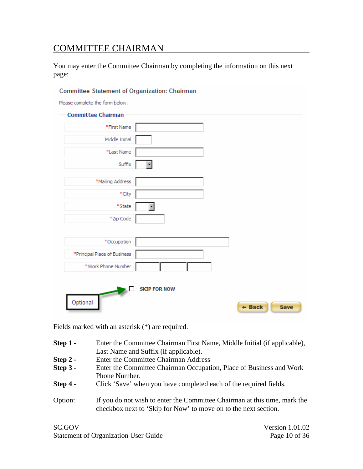## <span id="page-10-0"></span>COMMITTEE CHAIRMAN

You may enter the Committee Chairman by completing the information on this next page:

| Committee Chairman<br>*First Name |                          |  |
|-----------------------------------|--------------------------|--|
|                                   |                          |  |
| Middle Initial                    |                          |  |
| *Last Name                        |                          |  |
| Suffix                            | ᅱ                        |  |
| *Mailing Address                  |                          |  |
| *City                             |                          |  |
| *State                            | $\overline{\phantom{0}}$ |  |
| *Zip Code                         |                          |  |
| *Occupation                       |                          |  |
| *Principal Place of Business      |                          |  |
| *Work Phone Number                |                          |  |
|                                   | <b>SKIP FOR NOW</b>      |  |

Fields marked with an asterisk (\*) are required.

| $Step 1 -$ | Enter the Committee Chairman First Name, Middle Initial (if applicable), |  |  |
|------------|--------------------------------------------------------------------------|--|--|
|            | Last Name and Suffix (if applicable).                                    |  |  |
| $Step 2 -$ | Enter the Committee Chairman Address                                     |  |  |
| $Step 3 -$ | Enter the Committee Chairman Occupation, Place of Business and Work      |  |  |
|            | Phone Number.                                                            |  |  |
| $Step 4 -$ | Click 'Save' when you have completed each of the required fields.        |  |  |
|            |                                                                          |  |  |

Option: If you do not wish to enter the Committee Chairman at this time, mark the checkbox next to 'Skip for Now' to move on to the next section.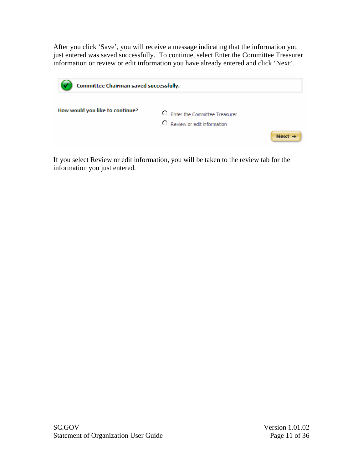After you click 'Save', you will receive a message indicating that the information you just entered was saved successfully. To continue, select Enter the Committee Treasurer information or review or edit information you have already entered and click 'Next'.

| Committee Chairman saved successfully. |                                                                 |          |
|----------------------------------------|-----------------------------------------------------------------|----------|
| How would you like to continue?        | C Enter the Committee Treasurer<br>C Review or edit information | $Next +$ |

If you select Review or edit information, you will be taken to the review tab for the information you just entered.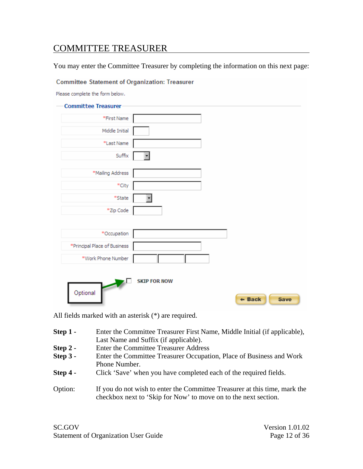## <span id="page-12-0"></span>COMMITTEE TREASURER

You may enter the Committee Treasurer by completing the information on this next page:

**Committee Statement of Organization: Treasurer** 

Please complete the form below.

| <b>Committee Treasurer</b>   |                         |                  |
|------------------------------|-------------------------|------------------|
| *First Name                  |                         |                  |
| Middle Initial               |                         |                  |
| *Last Name                   |                         |                  |
| Suffix                       | $\overline{\mathbf{r}}$ |                  |
| *Mailing Address             |                         |                  |
| $\ast$ City                  |                         |                  |
| *State                       |                         |                  |
| *Zip Code                    |                         |                  |
|                              |                         |                  |
| *Occupation                  |                         |                  |
| *Principal Place of Business |                         |                  |
| *Work Phone Number           |                         |                  |
| Optional                     | <b>SKIP FOR NOW</b>     | $+$ Back<br>Save |

All fields marked with an asterisk (\*) are required.

| $Step 1 -$ | Enter the Committee Treasurer First Name, Middle Initial (if applicable),<br>Last Name and Suffix (if applicable).                            |
|------------|-----------------------------------------------------------------------------------------------------------------------------------------------|
| $Step 2 -$ | <b>Enter the Committee Treasurer Address</b>                                                                                                  |
| Step 3 -   | Enter the Committee Treasurer Occupation, Place of Business and Work<br>Phone Number.                                                         |
| $Step 4 -$ | Click 'Save' when you have completed each of the required fields.                                                                             |
| Option:    | If you do not wish to enter the Committee Treasurer at this time, mark the<br>checkbox next to 'Skip for Now' to move on to the next section. |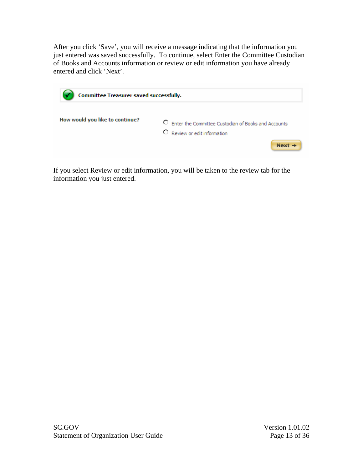After you click 'Save', you will receive a message indicating that the information you just entered was saved successfully. To continue, select Enter the Committee Custodian of Books and Accounts information or review or edit information you have already entered and click 'Next'.

| Committee Treasurer saved successfully. |                                                                                                       |  |  |  |
|-----------------------------------------|-------------------------------------------------------------------------------------------------------|--|--|--|
| How would you like to continue?         | О.<br>Enter the Committee Custodian of Books and Accounts<br>C Review or edit information<br>$Next +$ |  |  |  |

If you select Review or edit information, you will be taken to the review tab for the information you just entered.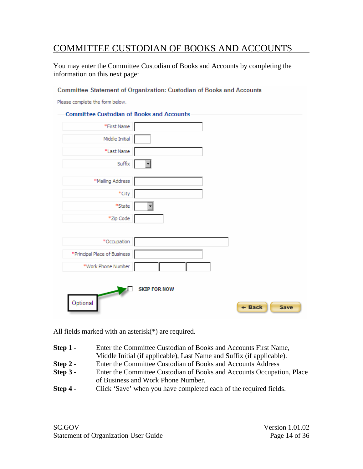## <span id="page-14-0"></span>COMMITTEE CUSTODIAN OF BOOKS AND ACCOUNTS

You may enter the Committee Custodian of Books and Accounts by completing the information on this next page:

Committee Statement of Organization: Custodian of Books and Accounts

Please complete the form below.

| Committee Custodian of Books and Accounts- |                         |                         |
|--------------------------------------------|-------------------------|-------------------------|
| *First Name                                |                         |                         |
| Middle Initial                             |                         |                         |
| *Last Name                                 |                         |                         |
| Suffix                                     | $\overline{\mathbf{r}}$ |                         |
| *Mailing Address                           |                         |                         |
| *City                                      |                         |                         |
| *State                                     |                         |                         |
| *Zip Code                                  |                         |                         |
| *Occupation                                |                         |                         |
| *Principal Place of Business               |                         |                         |
| *Work Phone Number                         |                         |                         |
| Optional                                   | <b>SKIP FOR NOW</b>     | $+$ Back<br><b>Save</b> |

All fields marked with an asterisk(\*) are required.

- **Step 1 -** Enter the Committee Custodian of Books and Accounts First Name, Middle Initial (if applicable), Last Name and Suffix (if applicable).
- **Step 2 -** Enter the Committee Custodian of Books and Accounts Address
- **Step 3 -** Enter the Committee Custodian of Books and Accounts Occupation, Place of Business and Work Phone Number.
- **Step 4 -** Click 'Save' when you have completed each of the required fields.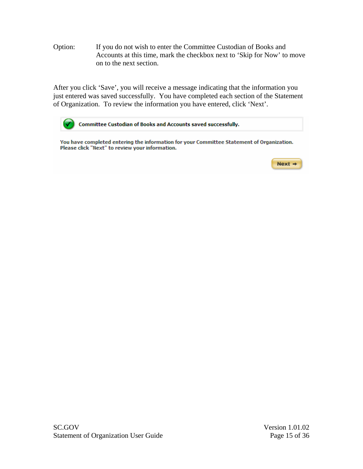Option: If you do not wish to enter the Committee Custodian of Books and Accounts at this time, mark the checkbox next to 'Skip for Now' to move on to the next section.

After you click 'Save', you will receive a message indicating that the information you just entered was saved successfully. You have completed each section of the Statement of Organization. To review the information you have entered, click 'Next'.

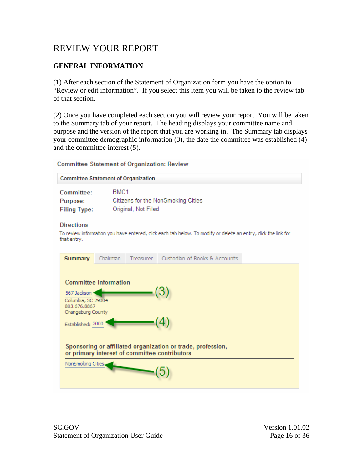## <span id="page-16-0"></span>REVIEW YOUR REPORT

#### **GENERAL INFORMATION**

(1) After each section of the Statement of Organization form you have the option to "Review or edit information". If you select this item you will be taken to the review tab of that section.

(2) Once you have completed each section you will review your report. You will be taken to the Summary tab of your report. The heading displays your committee name and purpose and the version of the report that you are working in. The Summary tab displays your committee demographic information (3), the date the committee was established (4) and the committee interest (5).

#### **Committee Statement of Organization: Review**

| <b>Committee Statement of Organization</b> |                                    |  |  |  |
|--------------------------------------------|------------------------------------|--|--|--|
| Committee:                                 | BMC <sub>1</sub>                   |  |  |  |
| Purpose:                                   | Citizens for the NonSmoking Cities |  |  |  |
| <b>Filing Type:</b>                        | Original, Not Filed                |  |  |  |

#### **Directions**

To review information you have entered, click each tab below. To modify or delete an entry, click the link for that entry.

| <b>Summary</b>                                                                                               | Chairman                     |  | Treasurer Custodian of Books & Accounts |  |  |
|--------------------------------------------------------------------------------------------------------------|------------------------------|--|-----------------------------------------|--|--|
|                                                                                                              |                              |  |                                         |  |  |
|                                                                                                              | <b>Committee Information</b> |  |                                         |  |  |
| 567 Jackson ·                                                                                                |                              |  |                                         |  |  |
| Columbia, SC 29004<br>803.676.8867                                                                           |                              |  |                                         |  |  |
| Orangeburg County                                                                                            |                              |  |                                         |  |  |
| Established: 2000                                                                                            |                              |  |                                         |  |  |
| Sponsoring or affiliated organization or trade, profession,<br>or primary interest of committee contributors |                              |  |                                         |  |  |
| NonSmoking Cities.                                                                                           |                              |  |                                         |  |  |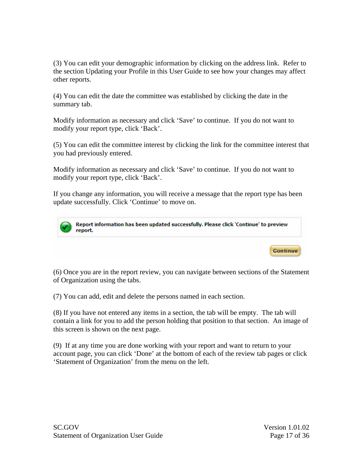(3) You can edit your demographic information by clicking on the address link. Refer to the section Updating your Profile in this User Guide to see how your changes may affect other reports.

(4) You can edit the date the committee was established by clicking the date in the summary tab.

Modify information as necessary and click 'Save' to continue. If you do not want to modify your report type, click 'Back'.

(5) You can edit the committee interest by clicking the link for the committee interest that you had previously entered.

Modify information as necessary and click 'Save' to continue. If you do not want to modify your report type, click 'Back'.

If you change any information, you will receive a message that the report type has been update successfully. Click 'Continue' to move on.



Report information has been updated successfully. Please click 'Continue' to preview report.

(6) Once you are in the report review, you can navigate between sections of the Statement of Organization using the tabs.

(7) You can add, edit and delete the persons named in each section.

(8) If you have not entered any items in a section, the tab will be empty. The tab will contain a link for you to add the person holding that position to that section. An image of this screen is shown on the next page.

(9) If at any time you are done working with your report and want to return to your account page, you can click 'Done' at the bottom of each of the review tab pages or click 'Statement of Organization' from the menu on the left.

**Continue**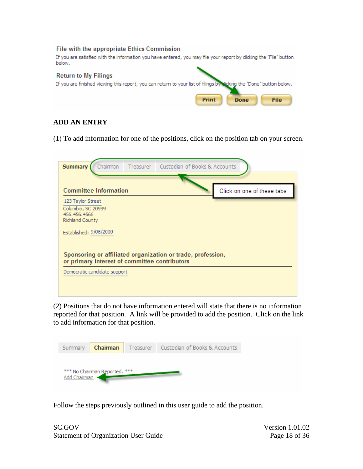<span id="page-18-0"></span>

### **ADD AN ENTRY**

(1) To add information for one of the positions, click on the position tab on your screen.

| <b>Summary</b><br>Chairman                                                 | Treasurer Custodian of Books & Accounts                                                                      |                            |
|----------------------------------------------------------------------------|--------------------------------------------------------------------------------------------------------------|----------------------------|
| <b>Committee Information</b>                                               |                                                                                                              | Click on one of these tabs |
| 123 Taylor Street<br>Columbia, SC 20999<br>456.456.4566<br>Richland County |                                                                                                              |                            |
| Established: 9/08/2000                                                     |                                                                                                              |                            |
|                                                                            | Sponsoring or affiliated organization or trade, profession,<br>or primary interest of committee contributors |                            |
| Democratic candidate support                                               |                                                                                                              |                            |

(2) Positions that do not have information entered will state that there is no information reported for that position. A link will be provided to add the position. Click on the link to add information for that position.

| Summary      | <b>Chairman</b>               | Treasurer Custodian of Books & Accounts |
|--------------|-------------------------------|-----------------------------------------|
|              |                               |                                         |
| Add Chairman | *** No Chairman Reported. *** |                                         |

Follow the steps previously outlined in this user guide to add the position.

SC.GOV Version 1.01.02 Statement of Organization User Guide Page 18 of 36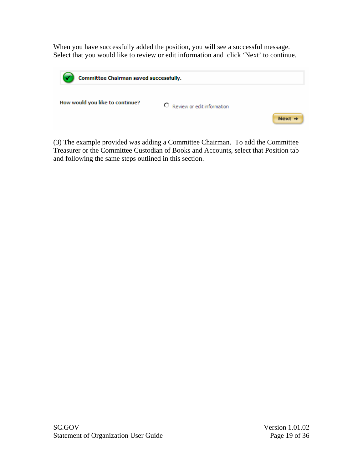When you have successfully added the position, you will see a successful message. Select that you would like to review or edit information and click 'Next' to continue.

| Committee Chairman saved successfully. |                              |          |  |  |
|----------------------------------------|------------------------------|----------|--|--|
| How would you like to continue?        | C Review or edit information | $Next +$ |  |  |

(3) The example provided was adding a Committee Chairman. To add the Committee Treasurer or the Committee Custodian of Books and Accounts, select that Position tab and following the same steps outlined in this section.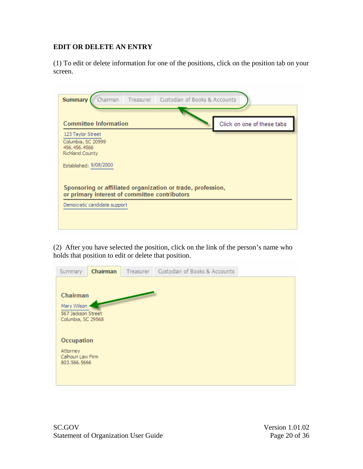#### <span id="page-20-0"></span>**EDIT OR DELETE AN ENTRY**

(1) To edit or delete information for one of the positions, click on the position tab on your screen.

| Chairman<br><b>Summary</b>                                                                                   | Treasurer | Custodian of Books & Accounts |                            |  |  |  |
|--------------------------------------------------------------------------------------------------------------|-----------|-------------------------------|----------------------------|--|--|--|
| <b>Committee Information</b>                                                                                 |           |                               | Click on one of these tabs |  |  |  |
| 123 Taylor Street<br>Columbia, SC 20999<br>456.456.4566                                                      |           |                               |                            |  |  |  |
| Richland County<br>Established: 9/08/2000                                                                    |           |                               |                            |  |  |  |
| Sponsoring or affiliated organization or trade, profession,<br>or primary interest of committee contributors |           |                               |                            |  |  |  |
| Democratic candidate support                                                                                 |           |                               |                            |  |  |  |
|                                                                                                              |           |                               |                            |  |  |  |

(2) After you have selected the position, click on the link of the person's name who holds that position to edit or delete that position.

| Summary                                                             | Chairman | Treasurer | Custodian of Books & Accounts |  |
|---------------------------------------------------------------------|----------|-----------|-------------------------------|--|
| Chairman<br>Mary Wilson<br>567 Jackson Street<br>Columbia, SC 29568 |          |           |                               |  |
| Occupation<br>Attorney<br>Calhoun Law Firm<br>803.566.5666          |          |           |                               |  |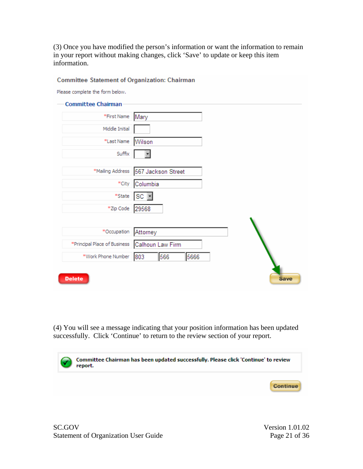(3) Once you have modified the person's information or want the information to remain in your report without making changes, click 'Save' to update or keep this item information.

| Please complete the form below.                 |                    |  |
|-------------------------------------------------|--------------------|--|
| <b>Committee Chairman</b>                       |                    |  |
| *First Name                                     | Mary               |  |
| Middle Initial                                  |                    |  |
| *Last Name                                      | Wilson             |  |
| Suffix                                          |                    |  |
| *Mailing Address                                | 567 Jackson Street |  |
| *City                                           | Columbia           |  |
| *State                                          | ISC FI             |  |
| *Zip Code                                       | 29568              |  |
|                                                 |                    |  |
| *Occupation                                     | Attorney           |  |
| *Principal Place of Business   Calhoun Law Firm |                    |  |
| *Work Phone Number                              | 566<br>5666<br>803 |  |

(4) You will see a message indicating that your position information has been updated successfully. Click 'Continue' to return to the review section of your report.

| Committee Chairman has been updated successfully. Please click 'Continue' to review<br>report.<br>report. |                 |  |  |  |
|-----------------------------------------------------------------------------------------------------------|-----------------|--|--|--|
|                                                                                                           | <b>Continue</b> |  |  |  |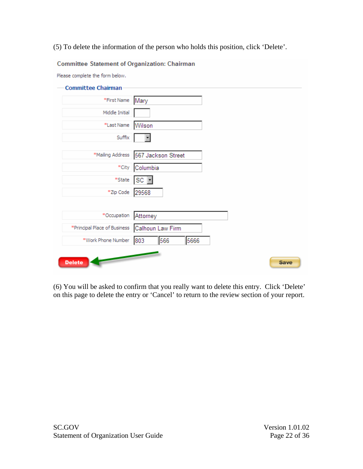#### (5) To delete the information of the person who holds this position, click 'Delete'.

#### **Committee Statement of Organization: Chairman**

Please complete the form below.

| <b>Committee Chairman</b>                       |                                       |
|-------------------------------------------------|---------------------------------------|
| *First Name                                     | Mary                                  |
| Middle Initial                                  |                                       |
| *Last Name                                      | Wilson                                |
| Suffix                                          |                                       |
|                                                 | *Mailing Address   567 Jackson Street |
| *City                                           | Columbia                              |
| *State                                          | SC                                    |
| *Zip Code                                       | 29568                                 |
|                                                 |                                       |
| *Occupation                                     | Attorney                              |
| *Principal Place of Business   Calhoun Law Firm |                                       |
| *Work Phone Number                              | 566<br>803<br>5666                    |
| <b>Delete</b>                                   | <b>Save</b>                           |

(6) You will be asked to confirm that you really want to delete this entry. Click 'Delete' on this page to delete the entry or 'Cancel' to return to the review section of your report.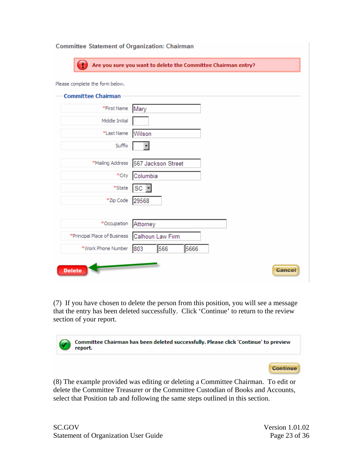| <b>Committee Statement of Organization: Chairman</b> |                                                               |  |
|------------------------------------------------------|---------------------------------------------------------------|--|
|                                                      | Are you sure you want to delete the Committee Chairman entry? |  |
| Please complete the form below.                      |                                                               |  |
| <b>Committee Chairman</b>                            |                                                               |  |
| *First Name                                          | Mary                                                          |  |
| Middle Initial                                       |                                                               |  |
| *Last Name                                           | Wilson                                                        |  |
| Suffix                                               |                                                               |  |
| *Mailing Address                                     | 567 Jackson Street                                            |  |
| *City                                                | Columbia                                                      |  |
| *State                                               | SC                                                            |  |
| *Zip Code                                            | 29568                                                         |  |
|                                                      |                                                               |  |
| *Occupation                                          | Attorney                                                      |  |
| *Principal Place of Business   Calhoun Law Firm      |                                                               |  |
| *Work Phone Number                                   | 566<br>5666<br>803                                            |  |
| <b>Delete</b>                                        | Cancel                                                        |  |

(7) If you have chosen to delete the person from this position, you will see a message that the entry has been deleted successfully. Click 'Continue' to return to the review section of your report.



(8) The example provided was editing or deleting a Committee Chairman. To edit or delete the Committee Treasurer or the Committee Custodian of Books and Accounts, select that Position tab and following the same steps outlined in this section.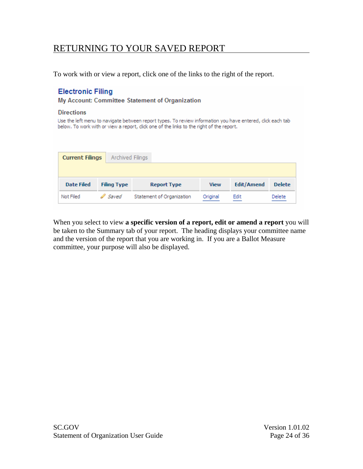## <span id="page-24-0"></span>RETURNING TO YOUR SAVED REPORT

To work with or view a report, click one of the links to the right of the report.

#### **Electronic Filing**

My Account: Committee Statement of Organization

#### **Directions**

Use the left menu to navigate between report types. To review information you have entered, click each tab below. To work with or view a report, click one of the links to the right of the report.

| <b>Current Filings</b> | Archived Filings   |                           |             |                   |               |
|------------------------|--------------------|---------------------------|-------------|-------------------|---------------|
|                        |                    |                           |             |                   |               |
| <b>Date Filed</b>      | <b>Filing Type</b> | <b>Report Type</b>        | <b>View</b> | <b>Edit/Amend</b> | <b>Delete</b> |
| Not Filed              | Saved              | Statement of Organization | Original    | Edit              | Delete        |

When you select to view **a specific version of a report, edit or amend a report** you will be taken to the Summary tab of your report. The heading displays your committee name and the version of the report that you are working in. If you are a Ballot Measure committee, your purpose will also be displayed.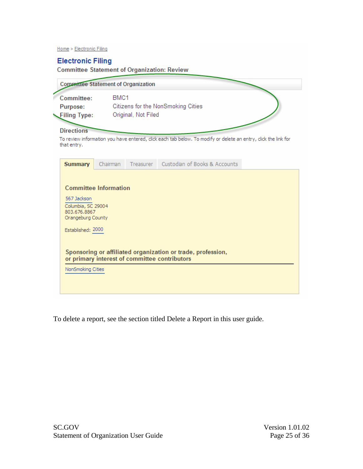Home > Electronic Filing

#### **Electronic Filing**

**Committee Statement of Organization: Review** 

|                                                                                                                                | <b>Committee Statement of Organization</b>                                                                     |  |  |  |
|--------------------------------------------------------------------------------------------------------------------------------|----------------------------------------------------------------------------------------------------------------|--|--|--|
| BMC <sub>1</sub><br>Committee:<br>Citizens for the NonSmoking Cities<br>Purpose:<br>Original, Not Filed<br><b>Filing Type:</b> |                                                                                                                |  |  |  |
| <b>Directions</b><br>that entry.                                                                                               | To review information you have entered, click each tab below. To modify or delete an entry, click the link for |  |  |  |
| <b>Summary</b>                                                                                                                 | Custodian of Books & Accounts<br>Chairman<br>Treasurer                                                         |  |  |  |
| 567 Jackson<br>Columbia, SC 29004<br>803.676.8867<br>Orangeburg County<br>Established: 2000                                    | <b>Committee Information</b>                                                                                   |  |  |  |
| NonSmoking Cities                                                                                                              | Sponsoring or affiliated organization or trade, profession,<br>or primary interest of committee contributors   |  |  |  |

To delete a report, see the section titled Delete a Report in this user guide.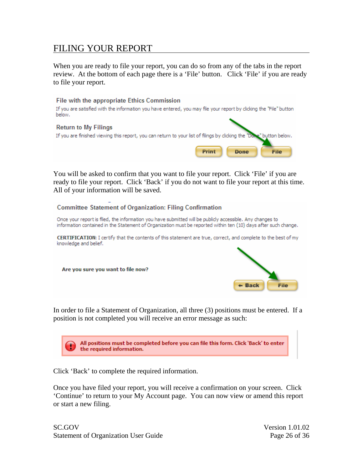## <span id="page-26-0"></span>FILING YOUR REPORT

When you are ready to file your report, you can do so from any of the tabs in the report review. At the bottom of each page there is a 'File' button. Click 'File' if you are ready to file your report.



You will be asked to confirm that you want to file your report. Click 'File' if you are ready to file your report. Click 'Back' if you do not want to file your report at this time. All of your information will be saved.



In order to file a Statement of Organization, all three (3) positions must be entered. If a position is not completed you will receive an error message as such:



Click 'Back' to complete the required information.

Once you have filed your report, you will receive a confirmation on your screen. Click 'Continue' to return to your My Account page. You can now view or amend this report or start a new filing.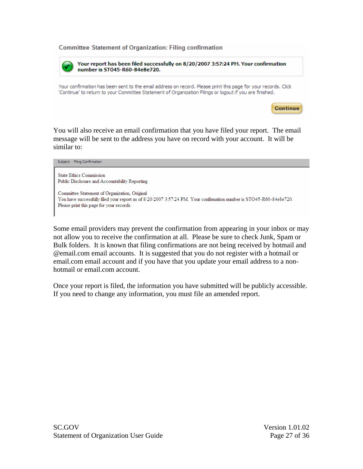**Committee Statement of Organization: Filing confirmation** 

Your report has been filed successfully on 8/20/2007 3:57:24 PM. Your confirmation number is ST045-R60-84e8e720. Your confirmation has been sent to the email address on record. Please print this page for your records. Click 'Continue' to return to your Committee Statement of Organization Filings or logout if you are finished.

**Continue** 

You will also receive an email confirmation that you have filed your report. The email message will be sent to the address you have on record with your account. It will be similar to:

Subject: Filing Confirmation **State Ethics Commission** Public Disclosure and Accountability Reporting Committee Statement of Organization, Original You have successfully filed your report as of 8/20/2007 3:57:24 PM. Your confirmation number is STO45-R60-84e8e720. Please print this page for your records.

Some email providers may prevent the confirmation from appearing in your inbox or may not allow you to receive the confirmation at all. Please be sure to check Junk, Spam or Bulk folders. It is known that filing confirmations are not being received by hotmail and @email.com email accounts. It is suggested that you do not register with a hotmail or email.com email account and if you have that you update your email address to a nonhotmail or email.com account.

Once your report is filed, the information you have submitted will be publicly accessible. If you need to change any information, you must file an amended report.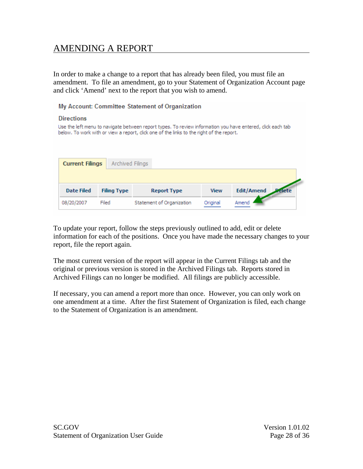## <span id="page-28-0"></span>AMENDING A REPORT

In order to make a change to a report that has already been filed, you must file an amendment. To file an amendment, go to your Statement of Organization Account page and click 'Amend' next to the report that you wish to amend.

My Account: Committee Statement of Organization

#### **Directions**

Use the left menu to navigate between report types. To review information you have entered, click each tab below. To work with or view a report, click one of the links to the right of the report.

| <b>Current Filings</b> | Archived Filings   |                           |             |                   |       |
|------------------------|--------------------|---------------------------|-------------|-------------------|-------|
|                        |                    |                           |             |                   |       |
| <b>Date Filed</b>      | <b>Filing Type</b> | <b>Report Type</b>        | <b>View</b> | <b>Edit/Amend</b> | elete |
| 08/20/2007             | Filed              | Statement of Organization | Original    | Amend             |       |

To update your report, follow the steps previously outlined to add, edit or delete information for each of the positions. Once you have made the necessary changes to your report, file the report again.

The most current version of the report will appear in the Current Filings tab and the original or previous version is stored in the Archived Filings tab. Reports stored in Archived Filings can no longer be modified. All filings are publicly accessible.

If necessary, you can amend a report more than once. However, you can only work on one amendment at a time. After the first Statement of Organization is filed, each change to the Statement of Organization is an amendment.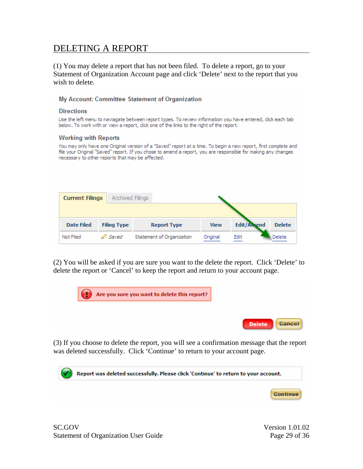## <span id="page-29-0"></span>DELETING A REPORT

(1) You may delete a report that has not been filed. To delete a report, go to your Statement of Organization Account page and click 'Delete' next to the report that you wish to delete.

#### My Account: Committee Statement of Organization

#### **Directions**

Use the left menu to naviagate between report types. To review information you have entered, dick each tab below. To work with or view a report, click one of the links to the right of the report.

#### **Working with Reports**

You may only have one Original version of a "Saved" report at a time. To begin a new report, first complete and file your Original "Saved" report. If you chose to amend a report, you are responsible for making any changes necessary to other reports that may be affected.

| <b>Current Filings</b> | Archived Filings   |                           |             |                   |               |
|------------------------|--------------------|---------------------------|-------------|-------------------|---------------|
|                        |                    |                           |             |                   |               |
| <b>Date Filed</b>      | <b>Filing Type</b> | <b>Report Type</b>        | <b>View</b> | <b>Edit/Amend</b> | <b>Delete</b> |
| Not Filed              | <i>Saved</i>       | Statement of Organization | Original    | Edit              | Delete        |

(2) You will be asked if you are sure you want to the delete the report. Click 'Delete' to delete the report or 'Cancel' to keep the report and return to your account page.



(3) If you choose to delete the report, you will see a confirmation message that the report was deleted successfully. Click 'Continue' to return to your account page.

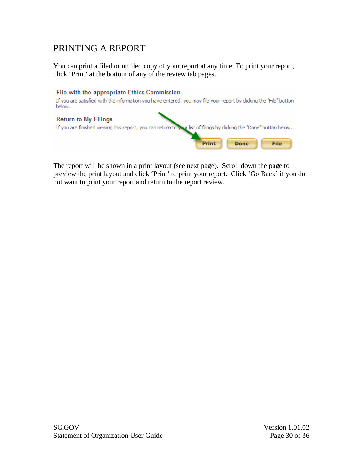## <span id="page-30-0"></span>PRINTING A REPORT

You can print a filed or unfiled copy of your report at any time. To print your report, click 'Print' at the bottom of any of the review tab pages.



The report will be shown in a print layout (see next page). Scroll down the page to preview the print layout and click 'Print' to print your report. Click 'Go Back' if you do not want to print your report and return to the report review.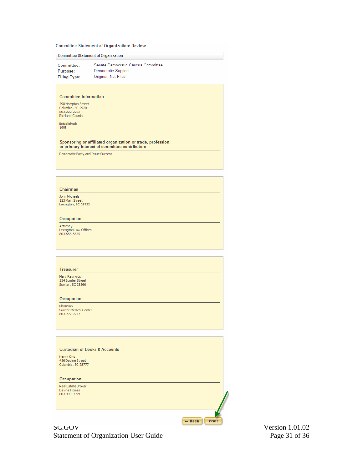#### **Committee Statement of Organization: Review**

|                                    | <b>Committee Statement of Organization</b>                                                                   |
|------------------------------------|--------------------------------------------------------------------------------------------------------------|
| Committee:                         | Senate Democratic Caucus Committee                                                                           |
| Purpose:                           | Democratic Support                                                                                           |
| <b>Filing Type:</b>                | Original, Not Filed                                                                                          |
|                                    |                                                                                                              |
|                                    |                                                                                                              |
| <b>Committee Information</b>       |                                                                                                              |
| 798 Hampton Street                 |                                                                                                              |
| Columbia, SC 29201<br>803.222.2222 |                                                                                                              |
| Richland County                    |                                                                                                              |
| Established:                       |                                                                                                              |
| 1998                               |                                                                                                              |
|                                    |                                                                                                              |
|                                    | Sponsoring or affiliated organization or trade, profession,<br>or primary interest of committee contributors |
| Democratic Party and Issue Success |                                                                                                              |
|                                    |                                                                                                              |
|                                    |                                                                                                              |
|                                    |                                                                                                              |
|                                    |                                                                                                              |
|                                    |                                                                                                              |
| Chairman                           |                                                                                                              |

John Michaels<br>123 Main Street<br>Lexington, SC 29722 Occupation

Attorney<br>Lexington Law Offices<br>803.555.5555

#### Treasurer

Mary Reynolds<br>234 Sumter Street<br>Sumter, SC 28566

Occupation

Physician<br>Sumter Medical Center<br>803.777.7777

| <b>Custodian of Books &amp; Accounts</b>              |  |
|-------------------------------------------------------|--|
| Henry King<br>456 Devine Street<br>Columbia, SC 28777 |  |
| Occupation                                            |  |
| Real Estate Broker<br>Devine Homes<br>803,999,9999    |  |

 $+$  Back  $\int$  Print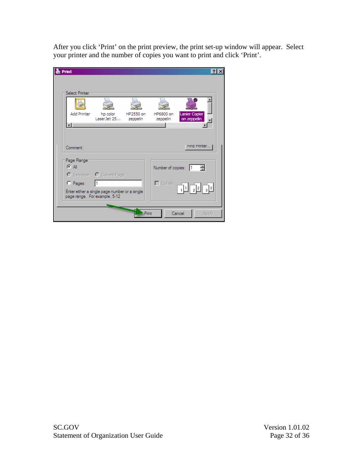After you click 'Print' on the print preview, the print set-up window will appear. Select your printer and the number of copies you want to print and click 'Print'.

| <b>Print</b>   |                                                                                |           |                   | $ ?  \times$                                                          |  |
|----------------|--------------------------------------------------------------------------------|-----------|-------------------|-----------------------------------------------------------------------|--|
|                |                                                                                |           |                   |                                                                       |  |
| Select Printer |                                                                                |           |                   |                                                                       |  |
|                |                                                                                |           |                   |                                                                       |  |
|                |                                                                                |           |                   |                                                                       |  |
| Add Printer    | hp color                                                                       | HP2550 on | HP6800 on         | Lanier Copier                                                         |  |
|                | LaserJet 25                                                                    | zeppelin  | zeppelin          | on zeppelin                                                           |  |
|                |                                                                                |           |                   |                                                                       |  |
|                |                                                                                |           |                   |                                                                       |  |
|                |                                                                                |           |                   |                                                                       |  |
| Comment:       |                                                                                |           |                   | Find Printer                                                          |  |
|                |                                                                                |           |                   |                                                                       |  |
| Page Range     |                                                                                |           |                   |                                                                       |  |
| C All          |                                                                                |           | Number of copies: | 름<br>l1                                                               |  |
|                | O Selection O Current Page                                                     |           |                   |                                                                       |  |
| $C$ Pages:     | l1                                                                             |           | $\Box$ Collate    |                                                                       |  |
|                |                                                                                |           |                   | $\frac{1}{4}$ $\frac{1}{2}$ $\frac{2}{3}$ $\frac{3}{3}$ $\frac{3}{4}$ |  |
|                | Enter either a single page number or a single<br>page range. For example, 5-12 |           |                   |                                                                       |  |
|                |                                                                                |           |                   |                                                                       |  |
|                |                                                                                |           |                   |                                                                       |  |
|                |                                                                                | Print     |                   | Cancel<br>Apply                                                       |  |
|                |                                                                                |           |                   |                                                                       |  |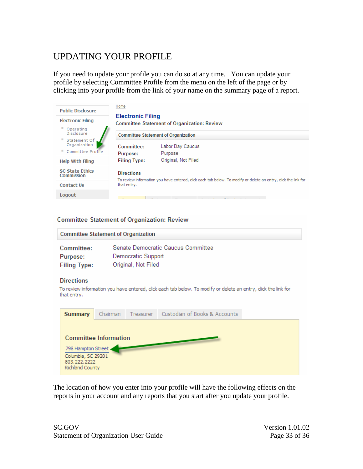# <span id="page-33-0"></span>UPDATING YOUR PROFILE

If you need to update your profile you can do so at any time. You can update your profile by selecting Committee Profile from the menu on the left of the page or by clicking into your profile from the link of your name on the summary page of a report.

| <b>Public Disclosure</b><br><b>Electronic Filing</b> | Home<br><b>Electronic Filing</b> | <b>Committee Statement of Organization: Review</b>                                                             |
|------------------------------------------------------|----------------------------------|----------------------------------------------------------------------------------------------------------------|
| Operating<br>Disclosure                              |                                  | <b>Committee Statement of Organization</b>                                                                     |
| Statement Of<br>Organization<br>Committee Profile    | Committee:                       | Labor Day Caucus                                                                                               |
|                                                      | Purpose:                         | Purpose                                                                                                        |
| <b>Help With Filing</b>                              | <b>Filing Type:</b>              | Original, Not Filed                                                                                            |
| <b>SC State Ethics</b><br>Commission                 | <b>Directions</b>                | To review information you have entered, click each tab below. To modify or delete an entry, click the link for |
| <b>Contact Us</b>                                    | that entry.                      |                                                                                                                |
| Logout                                               |                                  |                                                                                                                |

#### **Committee Statement of Organization: Review**

| <b>Committee Statement of Organization</b>                                                                   |                                                                                                                |  |  |
|--------------------------------------------------------------------------------------------------------------|----------------------------------------------------------------------------------------------------------------|--|--|
| Committee:<br>Purpose:<br><b>Filing Type:</b>                                                                | Senate Democratic Caucus Committee<br>Democratic Support<br>Original, Not Filed                                |  |  |
| <b>Directions</b><br>that entry.                                                                             | To review information you have entered, click each tab below. To modify or delete an entry, click the link for |  |  |
| <b>Summary</b>                                                                                               | Custodian of Books & Accounts<br>Chairman<br>Treasurer                                                         |  |  |
| <b>Committee Information</b><br>798 Hampton Street.<br>Columbia, SC 29201<br>803.222.2222<br>Richland County |                                                                                                                |  |  |

The location of how you enter into your profile will have the following effects on the reports in your account and any reports that you start after you update your profile.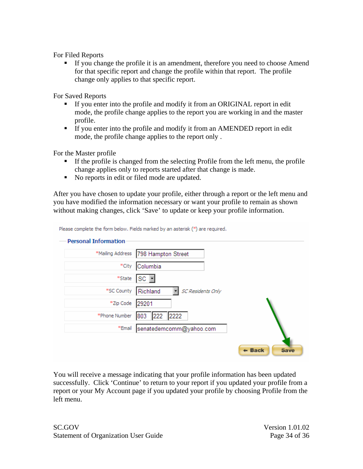For Filed Reports

 If you change the profile it is an amendment, therefore you need to choose Amend for that specific report and change the profile within that report. The profile change only applies to that specific report.

For Saved Reports

- If you enter into the profile and modify it from an ORIGINAL report in edit mode, the profile change applies to the report you are working in and the master profile.
- If you enter into the profile and modify it from an AMENDED report in edit mode, the profile change applies to the report only .

For the Master profile

- If the profile is changed from the selecting Profile from the left menu, the profile change applies only to reports started after that change is made.
- No reports in edit or filed mode are updated.

After you have chosen to update your profile, either through a report or the left menu and you have modified the information necessary or want your profile to remain as shown without making changes, click 'Save' to update or keep your profile information.

Please complete the form below. Fields marked by an asterisk (\*) are required.

| <b>Personal Information</b> |                                      |                                  |
|-----------------------------|--------------------------------------|----------------------------------|
|                             | *Mailing Address  798 Hampton Street |                                  |
| *City                       | Columbia                             |                                  |
|                             | *State SC -                          |                                  |
| *SC County   Richland       | <b>SC Residents Only</b><br>회        |                                  |
| *Zip Code                   | 29201                                |                                  |
| *Phone Number               | 803 222 2222                         |                                  |
|                             | *Email senatedemcomm@yahoo.com       |                                  |
|                             |                                      | $\leftarrow$ Back<br><b>Save</b> |

You will receive a message indicating that your profile information has been updated successfully. Click 'Continue' to return to your report if you updated your profile from a report or your My Account page if you updated your profile by choosing Profile from the left menu.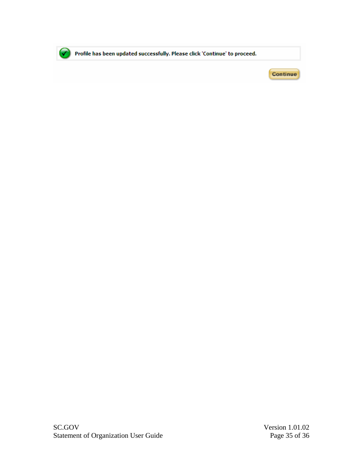

Profile has been updated successfully. Please click 'Continue' to proceed.